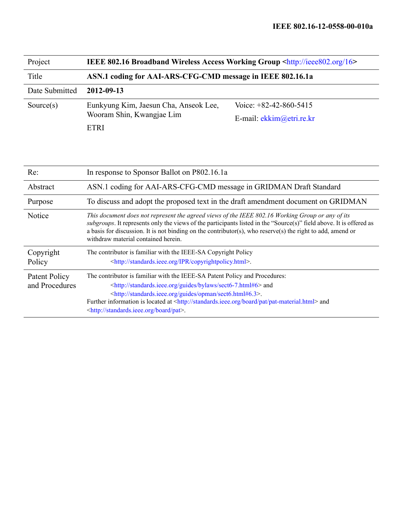| Project        | <b>IEEE 802.16 Broadband Wireless Access Working Group <http: 16="" ieee802.org=""></http:></b> |                            |  |
|----------------|-------------------------------------------------------------------------------------------------|----------------------------|--|
| Title          | ASN.1 coding for AAI-ARS-CFG-CMD message in IEEE 802.16.1a                                      |                            |  |
| Date Submitted | 2012-09-13                                                                                      |                            |  |
| Source $(s)$   | Eunkyung Kim, Jaesun Cha, Anseok Lee,<br>Wooram Shin, Kwangjae Lim                              | Voice: $+82-42-860-5415$   |  |
|                |                                                                                                 | E-mail: $ekkim@etri.re.kr$ |  |
|                | <b>ETRI</b>                                                                                     |                            |  |

| Re:                             | In response to Sponsor Ballot on P802.16.1a                                                                                                                                                                                                                                                                                                                                                                                   |  |
|---------------------------------|-------------------------------------------------------------------------------------------------------------------------------------------------------------------------------------------------------------------------------------------------------------------------------------------------------------------------------------------------------------------------------------------------------------------------------|--|
| Abstract                        | ASN.1 coding for AAI-ARS-CFG-CMD message in GRIDMAN Draft Standard                                                                                                                                                                                                                                                                                                                                                            |  |
| Purpose                         | To discuss and adopt the proposed text in the draft amendment document on GRIDMAN                                                                                                                                                                                                                                                                                                                                             |  |
| Notice                          | This document does not represent the agreed views of the IEEE 802.16 Working Group or any of its<br>subgroups. It represents only the views of the participants listed in the "Source(s)" field above. It is offered as<br>a basis for discussion. It is not binding on the contributor(s), who reserve(s) the right to add, amend or<br>withdraw material contained herein.                                                  |  |
| Copyright<br>Policy             | The contributor is familiar with the IEEE-SA Copyright Policy<br><http: copyrightpolicy.html="" ipr="" standards.ieee.org="">.</http:>                                                                                                                                                                                                                                                                                        |  |
| Patent Policy<br>and Procedures | The contributor is familiar with the IEEE-SA Patent Policy and Procedures:<br><http: bylaws="" guides="" sect6-7.html#6="" standards.ieee.org=""> and<br/><http: guides="" opman="" sect6.html#6.3="" standards.ieee.org="">.<br/>Further information is located at <http: board="" pat="" pat-material.html="" standards.ieee.org=""> and<br/><http: board="" pat="" standards.ieee.org="">.</http:></http:></http:></http:> |  |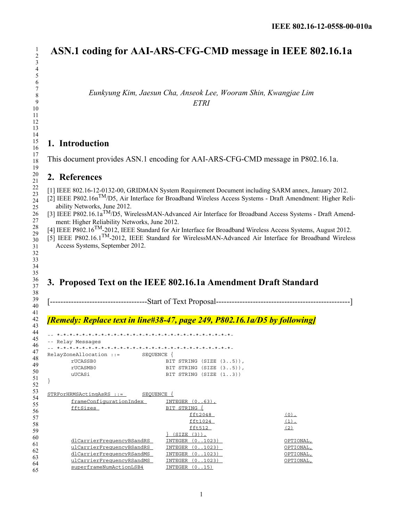# **ASN.1 coding for AAI-ARS-CFG-CMD message in IEEE 802.16.1a**

*Eunkyung Kim, Jaesun Cha, Anseok Lee, Wooram Shin, Kwangjae Lim ETRI*

### **1. Introduction**

This document provides ASN.1 encoding for AAI-ARS-CFG-CMD message in P802.16.1a.

#### **2. References**

[1] IEEE 802.16-12-0132-00, GRIDMAN System Requirement Document including SARM annex, January 2012.

[2] IEEE P802.16nTM/D5, Air Interface for Broadband Wireless Access Systems - Draft Amendment: Higher Reliability Networks, June 2012.

- [3] IEEE P802.16.1a<sup>TM</sup>/D5, WirelessMAN-Advanced Air Interface for Broadband Access Systems Draft Amendment: Higher Reliability Networks, June 2012.
- [4] IEEE P802.16<sup>TM</sup>-2012, IEEE Standard for Air Interface for Broadband Wireless Access Systems, August 2012.

[5] IEEE P802.16.1TM-2012, IEEE Standard for WirelessMAN-Advanced Air Interface for Broadband Wireless Access Systems, September 2012.

## **3. Proposed Text on the IEEE 802.16.1a Amendment Draft Standard**

[-------------------------------------Start of Text Proposal---------------------------------------------------]

### *[Remedy: Replace text in line#38-47, page 249, P802.16.1a/D5 by following]*

-- \*-\*-\*-\*-\*-\*-\*-\*-\*-\*-\*-\*-\*-\*-\*-\*-\*-\*-\*-\*-\*-\*-\*-\*-\*-\*-\*-\*- -- Relay Messages

```
-- *-*-*-*-*-*-*-*-*-*-*-*-*-*-*-*-*-*-*-*-*-*-*-*-*-*-*-*-
RelayZoneAllocation ::= SEQUENCE {
     rUCASSB0 BIT STRING (SIZE (3..5)),
     rUCASMB0 BIT STRING (SIZE (3..5)),
     uUCASi BIT STRING (SIZE (1..3))
```

```
}
```

| $STRFOTHRMSActingASRS :: =$<br><b>SEOUENCE</b> |                        |           |
|------------------------------------------------|------------------------|-----------|
| frameConfigurationIndex                        | INTEGER<br>$(0.063)$ , |           |
| fftSizes                                       | BIT STRING             |           |
|                                                | fft2048                | $(0)$ ,   |
|                                                | fft1024                | $(1)$ ,   |
|                                                | fft512                 | (2)       |
|                                                | SIZE<br>$(3)$ )        |           |
| dlCarrierFrequencyBSandRS                      | (0.1023)<br>INTEGER    | OPTIONAL, |
| ulCarrierFrequencyBSandRS                      | (0.1023)<br>INTEGER    | OPTIONAL, |
| dlCarrierFrequencyRSandMS                      | INTEGER<br>(01023)     | OPTIONAL, |
| ulCarrierFrequencyRSandMS                      | (0.1023)<br>INTEGER    | OPTIONAL. |
| superframeNumActionLSB4                        | INTEGER<br>(0.15)      |           |